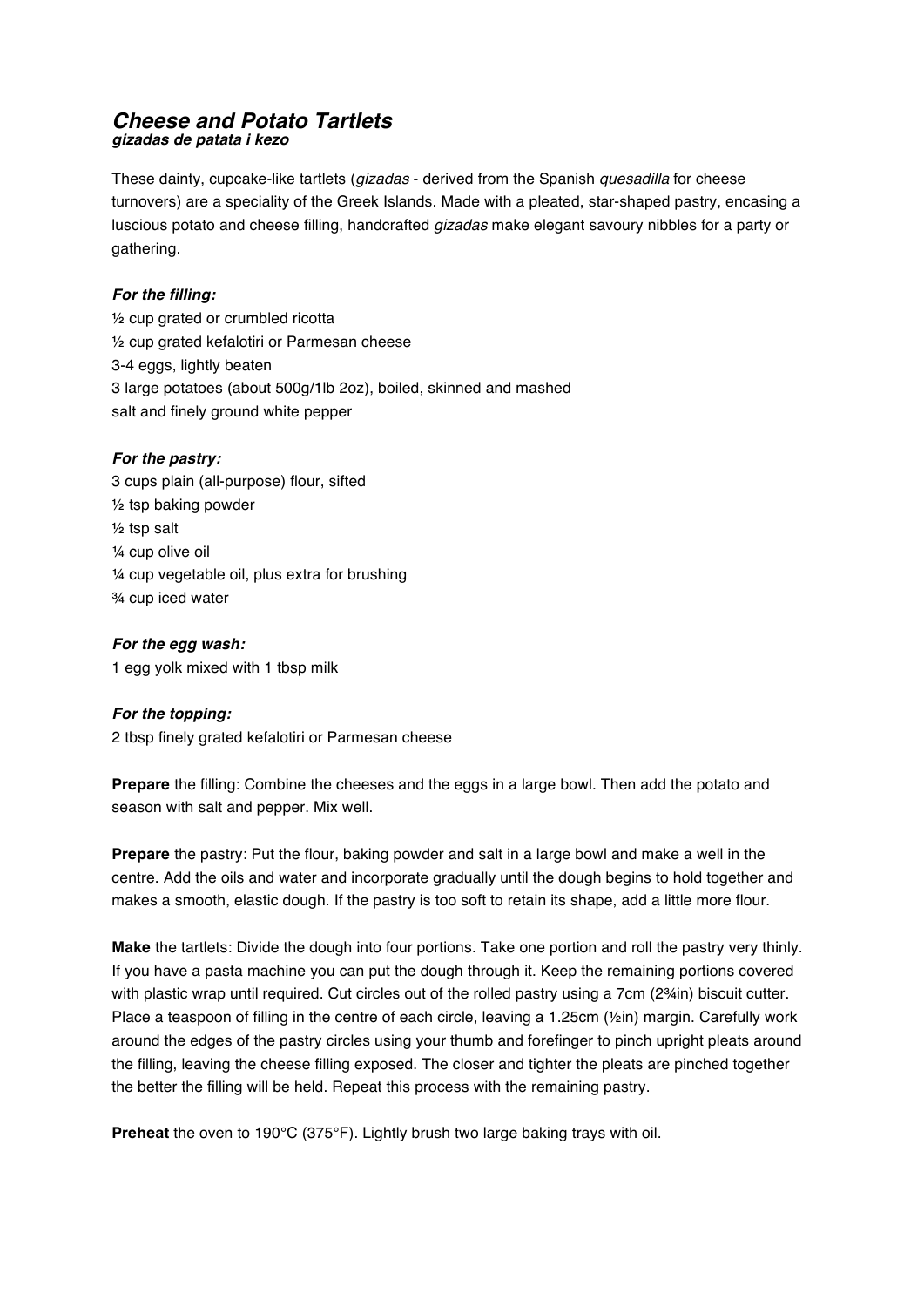### *Cheese and Potato Tartlets gizadas de patata i kezo*

These dainty, cupcake-like tartlets (*gizadas* - derived from the Spanish *quesadilla* for cheese turnovers) are a speciality of the Greek Islands. Made with a pleated, star-shaped pastry, encasing a luscious potato and cheese filling, handcrafted *gizadas* make elegant savoury nibbles for a party or gathering.

# *For the filling:*

½ cup grated or crumbled ricotta ½ cup grated kefalotiri or Parmesan cheese 3-4 eggs, lightly beaten 3 large potatoes (about 500g/1lb 2oz), boiled, skinned and mashed salt and finely ground white pepper

# *For the pastry:*

3 cups plain (all-purpose) flour, sifted ½ tsp baking powder ½ tsp salt ¼ cup olive oil ¼ cup vegetable oil, plus extra for brushing ¾ cup iced water

# *For the egg wash:*

1 egg yolk mixed with 1 tbsp milk

# *For the topping:*

2 tbsp finely grated kefalotiri or Parmesan cheese

**Prepare** the filling: Combine the cheeses and the eggs in a large bowl. Then add the potato and season with salt and pepper. Mix well.

**Prepare** the pastry: Put the flour, baking powder and salt in a large bowl and make a well in the centre. Add the oils and water and incorporate gradually until the dough begins to hold together and makes a smooth, elastic dough. If the pastry is too soft to retain its shape, add a little more flour.

**Make** the tartlets: Divide the dough into four portions. Take one portion and roll the pastry very thinly. If you have a pasta machine you can put the dough through it. Keep the remaining portions covered with plastic wrap until required. Cut circles out of the rolled pastry using a 7cm (2¾in) biscuit cutter. Place a teaspoon of filling in the centre of each circle, leaving a 1.25cm (1/2in) margin. Carefully work around the edges of the pastry circles using your thumb and forefinger to pinch upright pleats around the filling, leaving the cheese filling exposed. The closer and tighter the pleats are pinched together the better the filling will be held. Repeat this process with the remaining pastry.

**Preheat** the oven to 190°C (375°F). Lightly brush two large baking trays with oil.